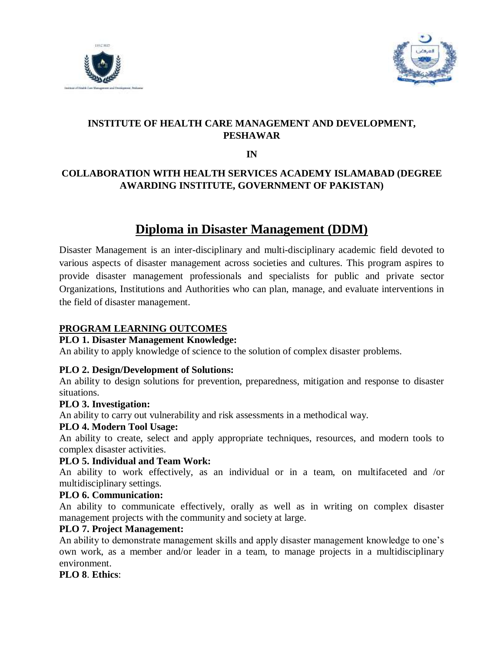



# **INSTITUTE OF HEALTH CARE MANAGEMENT AND DEVELOPMENT, PESHAWAR**

**IN**

# **COLLABORATION WITH HEALTH SERVICES ACADEMY ISLAMABAD (DEGREE AWARDING INSTITUTE, GOVERNMENT OF PAKISTAN)**

# **Diploma in Disaster Management (DDM)**

Disaster Management is an inter-disciplinary and multi-disciplinary academic field devoted to various aspects of disaster management across societies and cultures. This program aspires to provide disaster management professionals and specialists for public and private sector Organizations, Institutions and Authorities who can plan, manage, and evaluate interventions in the field of disaster management.

## **PROGRAM LEARNING OUTCOMES**

### **PLO 1. Disaster Management Knowledge:**

An ability to apply knowledge of science to the solution of complex disaster problems.

### **PLO 2. Design/Development of Solutions:**

An ability to design solutions for prevention, preparedness, mitigation and response to disaster situations.

### **PLO 3. Investigation:**

An ability to carry out vulnerability and risk assessments in a methodical way.

## **PLO 4. Modern Tool Usage:**

An ability to create, select and apply appropriate techniques, resources, and modern tools to complex disaster activities.

### **PLO 5. Individual and Team Work:**

An ability to work effectively, as an individual or in a team, on multifaceted and /or multidisciplinary settings.

### **PLO 6. Communication:**

An ability to communicate effectively, orally as well as in writing on complex disaster management projects with the community and society at large.

## **PLO 7. Project Management:**

An ability to demonstrate management skills and apply disaster management knowledge to one's own work, as a member and/or leader in a team, to manage projects in a multidisciplinary environment.

**PLO 8**. **Ethics**: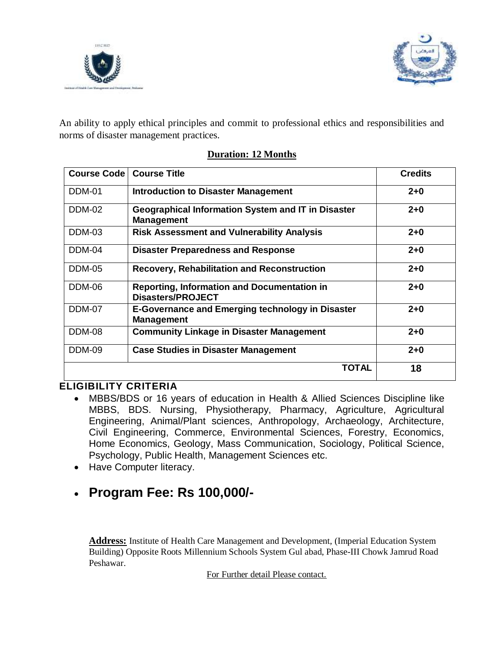



An ability to apply ethical principles and commit to professional ethics and responsibilities and norms of disaster management practices.

| <b>Course Code</b> | <b>Course Title</b>                                                            | <b>Credits</b> |
|--------------------|--------------------------------------------------------------------------------|----------------|
| <b>DDM-01</b>      | <b>Introduction to Disaster Management</b>                                     | $2 + 0$        |
| <b>DDM-02</b>      | <b>Geographical Information System and IT in Disaster</b><br><b>Management</b> | $2 + 0$        |
| DDM-03             | <b>Risk Assessment and Vulnerability Analysis</b>                              | $2 + 0$        |
| DDM-04             | <b>Disaster Preparedness and Response</b>                                      | $2 + 0$        |
| <b>DDM-05</b>      | <b>Recovery, Rehabilitation and Reconstruction</b>                             | $2 + 0$        |
| DDM-06             | Reporting, Information and Documentation in<br><b>Disasters/PROJECT</b>        | $2 + 0$        |
| DDM-07             | <b>E-Governance and Emerging technology in Disaster</b><br><b>Management</b>   | $2 + 0$        |
| <b>DDM-08</b>      | <b>Community Linkage in Disaster Management</b>                                | $2+0$          |
| DDM-09             | <b>Case Studies in Disaster Management</b>                                     | $2 + 0$        |
|                    | TOTAL                                                                          | 18             |

## **Duration: 12 Months**

# **ELIGIBILITY CRITERIA**

- MBBS/BDS or 16 years of education in Health & Allied Sciences Discipline like MBBS, BDS. Nursing, Physiotherapy, Pharmacy, Agriculture, Agricultural Engineering, Animal/Plant sciences, Anthropology, Archaeology, Architecture, Civil Engineering, Commerce, Environmental Sciences, Forestry, Economics, Home Economics, Geology, Mass Communication, Sociology, Political Science, Psychology, Public Health, Management Sciences etc.
- Have Computer literacy.

# **Program Fee: Rs 100,000/-**

**Address:** Institute of Health Care Management and Development, (Imperial Education System Building) Opposite Roots Millennium Schools System Gul abad, Phase-III Chowk Jamrud Road Peshawar.

For Further detail Please contact.